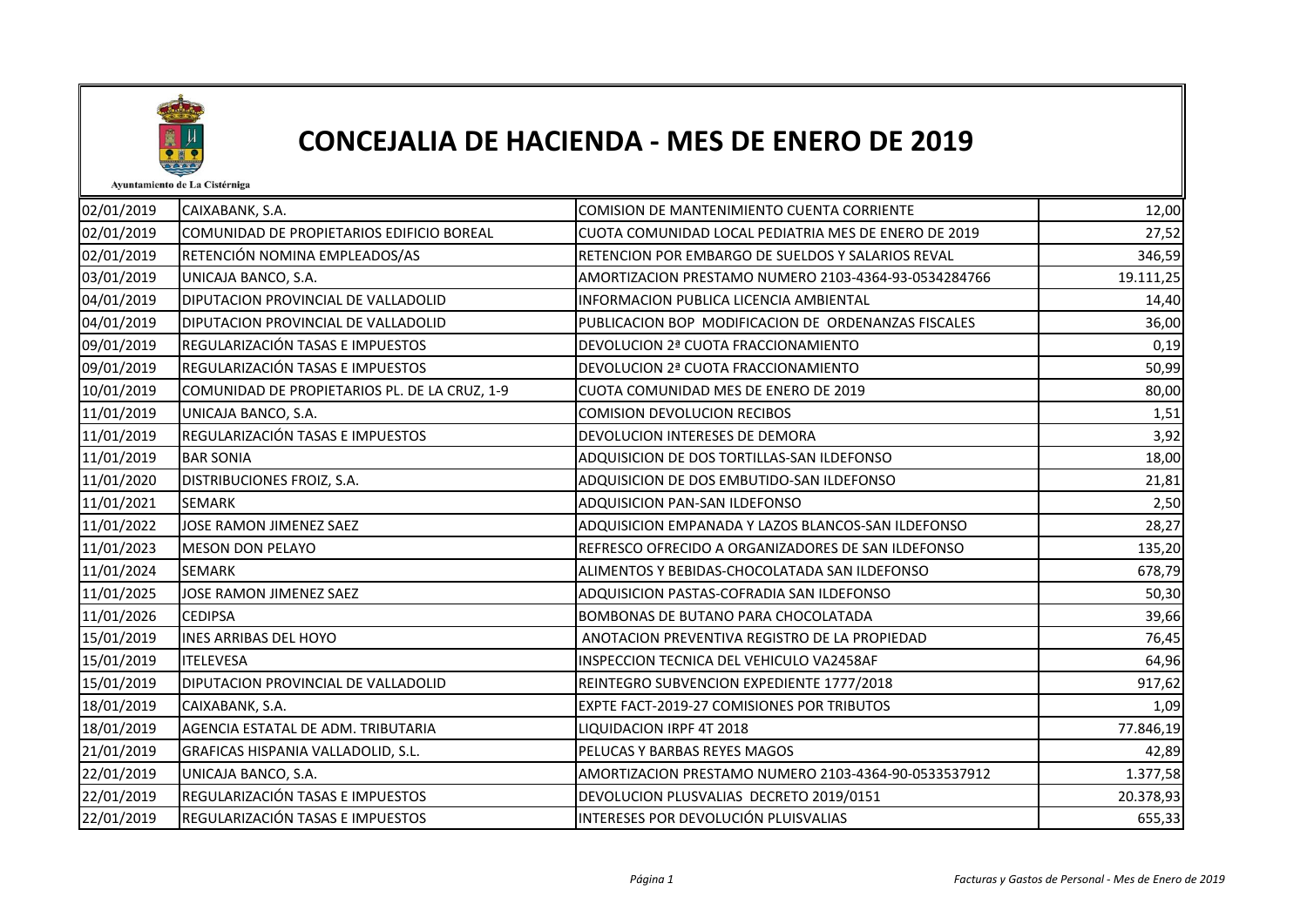

## CONCEJALIA DE HACIENDA - MES DE ENERO DE 2019

Ayuntamiento de La Cistérniga

| 02/01/2019 | CAIXABANK, S.A.                               | COMISION DE MANTENIMIENTO CUENTA CORRIENTE           | 12,00     |
|------------|-----------------------------------------------|------------------------------------------------------|-----------|
| 02/01/2019 | COMUNIDAD DE PROPIETARIOS EDIFICIO BOREAL     | CUOTA COMUNIDAD LOCAL PEDIATRIA MES DE ENERO DE 2019 | 27,52     |
| 02/01/2019 | RETENCIÓN NOMINA EMPLEADOS/AS                 | RETENCION POR EMBARGO DE SUELDOS Y SALARIOS REVAL    | 346,59    |
| 03/01/2019 | UNICAJA BANCO, S.A.                           | AMORTIZACION PRESTAMO NUMERO 2103-4364-93-0534284766 | 19.111,25 |
| 04/01/2019 | DIPUTACION PROVINCIAL DE VALLADOLID           | INFORMACION PUBLICA LICENCIA AMBIENTAL               | 14,40     |
| 04/01/2019 | DIPUTACION PROVINCIAL DE VALLADOLID           | PUBLICACION BOP MODIFICACION DE ORDENANZAS FISCALES  | 36,00     |
| 09/01/2019 | REGULARIZACIÓN TASAS E IMPUESTOS              | DEVOLUCION 2ª CUOTA FRACCIONAMIENTO                  | 0,19      |
| 09/01/2019 | REGULARIZACIÓN TASAS E IMPUESTOS              | DEVOLUCION 2ª CUOTA FRACCIONAMIENTO                  | 50,99     |
| 10/01/2019 | COMUNIDAD DE PROPIETARIOS PL. DE LA CRUZ, 1-9 | CUOTA COMUNIDAD MES DE ENERO DE 2019                 | 80,00     |
| 11/01/2019 | UNICAJA BANCO, S.A.                           | <b>COMISION DEVOLUCION RECIBOS</b>                   | 1,51      |
| 11/01/2019 | REGULARIZACIÓN TASAS E IMPUESTOS              | DEVOLUCION INTERESES DE DEMORA                       | 3,92      |
| 11/01/2019 | <b>BAR SONIA</b>                              | ADQUISICION DE DOS TORTILLAS-SAN ILDEFONSO           | 18,00     |
| 11/01/2020 | DISTRIBUCIONES FROIZ, S.A.                    | ADQUISICION DE DOS EMBUTIDO-SAN ILDEFONSO            | 21,81     |
| 11/01/2021 | <b>SEMARK</b>                                 | ADQUISICION PAN-SAN ILDEFONSO                        | 2,50      |
| 11/01/2022 | JOSE RAMON JIMENEZ SAEZ                       | ADQUISICION EMPANADA Y LAZOS BLANCOS-SAN ILDEFONSO   | 28,27     |
| 11/01/2023 | <b>MESON DON PELAYO</b>                       | REFRESCO OFRECIDO A ORGANIZADORES DE SAN ILDEFONSO   | 135,20    |
| 11/01/2024 | <b>SEMARK</b>                                 | ALIMENTOS Y BEBIDAS-CHOCOLATADA SAN ILDEFONSO        | 678,79    |
| 11/01/2025 | JOSE RAMON JIMENEZ SAEZ                       | ADQUISICION PASTAS-COFRADIA SAN ILDEFONSO            | 50,30     |
| 11/01/2026 | <b>CEDIPSA</b>                                | BOMBONAS DE BUTANO PARA CHOCOLATADA                  | 39,66     |
| 15/01/2019 | <b>INES ARRIBAS DEL HOYO</b>                  | ANOTACION PREVENTIVA REGISTRO DE LA PROPIEDAD        | 76,45     |
| 15/01/2019 | <b>ITELEVESA</b>                              | INSPECCION TECNICA DEL VEHICULO VA2458AF             | 64,96     |
| 15/01/2019 | DIPUTACION PROVINCIAL DE VALLADOLID           | REINTEGRO SUBVENCION EXPEDIENTE 1777/2018            | 917,62    |
| 18/01/2019 | CAIXABANK, S.A.                               | EXPTE FACT-2019-27 COMISIONES POR TRIBUTOS           | 1,09      |
| 18/01/2019 | AGENCIA ESTATAL DE ADM. TRIBUTARIA            | LIQUIDACION IRPF 4T 2018                             | 77.846,19 |
| 21/01/2019 | GRAFICAS HISPANIA VALLADOLID, S.L.            | PELUCAS Y BARBAS REYES MAGOS                         | 42,89     |
| 22/01/2019 | UNICAJA BANCO, S.A.                           | AMORTIZACION PRESTAMO NUMERO 2103-4364-90-0533537912 | 1.377,58  |
| 22/01/2019 | REGULARIZACIÓN TASAS E IMPUESTOS              | DEVOLUCION PLUSVALIAS DECRETO 2019/0151              | 20.378,93 |
| 22/01/2019 | REGULARIZACIÓN TASAS E IMPUESTOS              | INTERESES POR DEVOLUCIÓN PLUISVALIAS                 | 655,33    |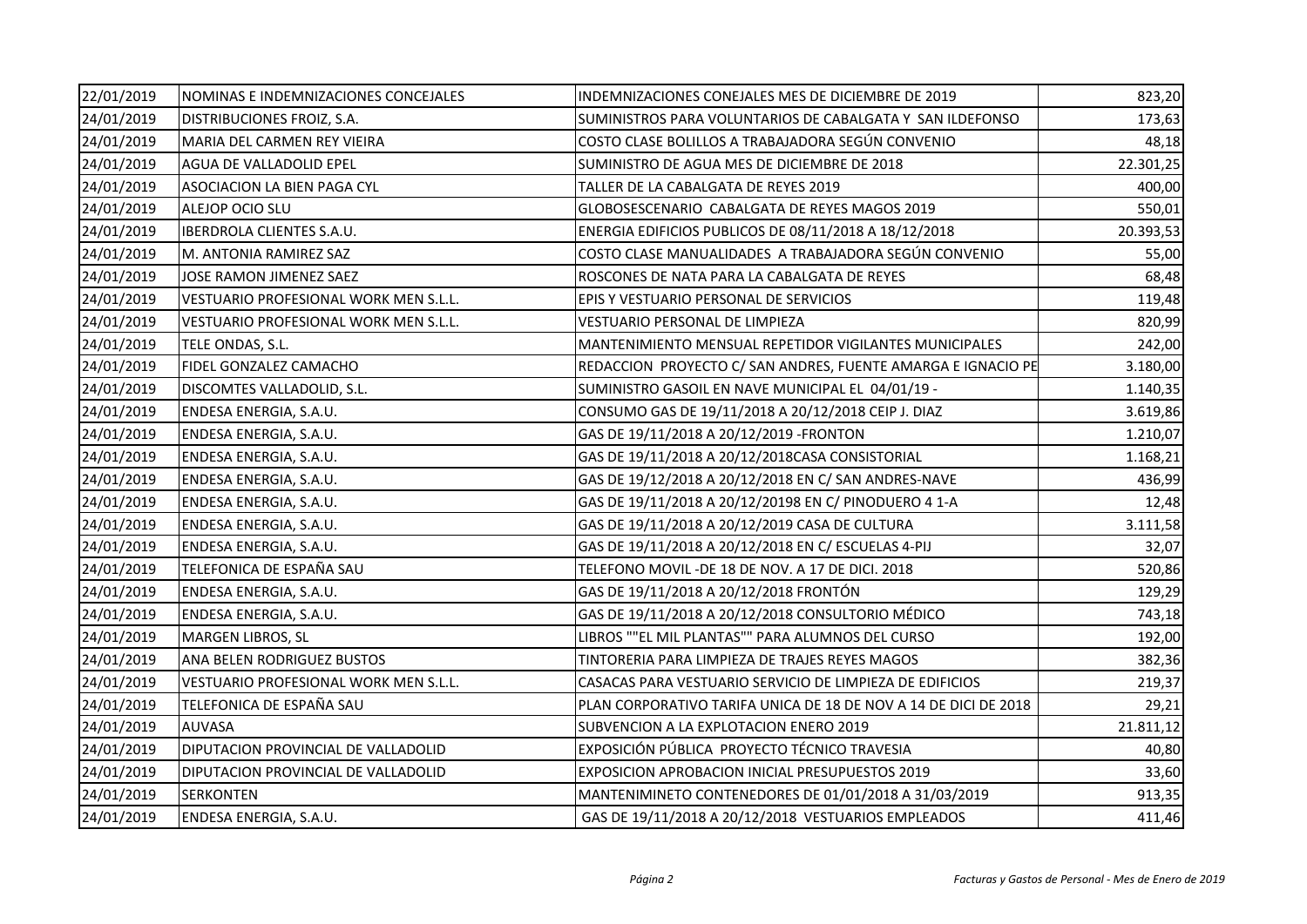| 22/01/2019 | NOMINAS E INDEMNIZACIONES CONCEJALES  | INDEMNIZACIONES CONEJALES MES DE DICIEMBRE DE 2019              | 823,20    |
|------------|---------------------------------------|-----------------------------------------------------------------|-----------|
| 24/01/2019 | DISTRIBUCIONES FROIZ, S.A.            | SUMINISTROS PARA VOLUNTARIOS DE CABALGATA Y SAN ILDEFONSO       | 173,63    |
| 24/01/2019 | MARIA DEL CARMEN REY VIEIRA           | COSTO CLASE BOLILLOS A TRABAJADORA SEGÚN CONVENIO               | 48,18     |
| 24/01/2019 | AGUA DE VALLADOLID EPEL               | SUMINISTRO DE AGUA MES DE DICIEMBRE DE 2018                     | 22.301,25 |
| 24/01/2019 | ASOCIACION LA BIEN PAGA CYL           | TALLER DE LA CABALGATA DE REYES 2019                            | 400,00    |
| 24/01/2019 | ALEJOP OCIO SLU                       | GLOBOSESCENARIO CABALGATA DE REYES MAGOS 2019                   | 550,01    |
| 24/01/2019 | <b>IBERDROLA CLIENTES S.A.U.</b>      | ENERGIA EDIFICIOS PUBLICOS DE 08/11/2018 A 18/12/2018           | 20.393,53 |
| 24/01/2019 | M. ANTONIA RAMIREZ SAZ                | COSTO CLASE MANUALIDADES A TRABAJADORA SEGÚN CONVENIO           | 55,00     |
| 24/01/2019 | JOSE RAMON JIMENEZ SAEZ               | ROSCONES DE NATA PARA LA CABALGATA DE REYES                     | 68,48     |
| 24/01/2019 | VESTUARIO PROFESIONAL WORK MEN S.L.L. | EPIS Y VESTUARIO PERSONAL DE SERVICIOS                          | 119,48    |
| 24/01/2019 | VESTUARIO PROFESIONAL WORK MEN S.L.L. | VESTUARIO PERSONAL DE LIMPIEZA                                  | 820,99    |
| 24/01/2019 | TELE ONDAS, S.L.                      | MANTENIMIENTO MENSUAL REPETIDOR VIGILANTES MUNICIPALES          | 242,00    |
| 24/01/2019 | FIDEL GONZALEZ CAMACHO                | REDACCION PROYECTO C/ SAN ANDRES, FUENTE AMARGA E IGNACIO PE    | 3.180,00  |
| 24/01/2019 | DISCOMTES VALLADOLID, S.L.            | SUMINISTRO GASOIL EN NAVE MUNICIPAL EL 04/01/19 -               | 1.140,35  |
| 24/01/2019 | ENDESA ENERGIA, S.A.U.                | CONSUMO GAS DE 19/11/2018 A 20/12/2018 CEIP J. DIAZ             | 3.619,86  |
| 24/01/2019 | ENDESA ENERGIA, S.A.U.                | GAS DE 19/11/2018 A 20/12/2019 - FRONTON                        | 1.210,07  |
| 24/01/2019 | ENDESA ENERGIA, S.A.U.                | GAS DE 19/11/2018 A 20/12/2018CASA CONSISTORIAL                 | 1.168,21  |
| 24/01/2019 | ENDESA ENERGIA, S.A.U.                | GAS DE 19/12/2018 A 20/12/2018 EN C/ SAN ANDRES-NAVE            | 436,99    |
| 24/01/2019 | ENDESA ENERGIA, S.A.U.                | GAS DE 19/11/2018 A 20/12/20198 EN C/ PINODUERO 4 1-A           | 12,48     |
| 24/01/2019 | ENDESA ENERGIA, S.A.U.                | GAS DE 19/11/2018 A 20/12/2019 CASA DE CULTURA                  | 3.111,58  |
| 24/01/2019 | ENDESA ENERGIA, S.A.U.                | GAS DE 19/11/2018 A 20/12/2018 EN C/ ESCUELAS 4-PIJ             | 32,07     |
| 24/01/2019 | TELEFONICA DE ESPAÑA SAU              | TELEFONO MOVIL -DE 18 DE NOV. A 17 DE DICI. 2018                | 520,86    |
| 24/01/2019 | ENDESA ENERGIA, S.A.U.                | GAS DE 19/11/2018 A 20/12/2018 FRONTÓN                          | 129,29    |
| 24/01/2019 | ENDESA ENERGIA, S.A.U.                | GAS DE 19/11/2018 A 20/12/2018 CONSULTORIO MÉDICO               | 743,18    |
| 24/01/2019 | MARGEN LIBROS, SL                     | LIBROS ""EL MIL PLANTAS"" PARA ALUMNOS DEL CURSO                | 192,00    |
| 24/01/2019 | ANA BELEN RODRIGUEZ BUSTOS            | TINTORERIA PARA LIMPIEZA DE TRAJES REYES MAGOS                  | 382,36    |
| 24/01/2019 | VESTUARIO PROFESIONAL WORK MEN S.L.L. | CASACAS PARA VESTUARIO SERVICIO DE LIMPIEZA DE EDIFICIOS        | 219,37    |
| 24/01/2019 | TELEFONICA DE ESPAÑA SAU              | PLAN CORPORATIVO TARIFA UNICA DE 18 DE NOV A 14 DE DICI DE 2018 | 29,21     |
| 24/01/2019 | <b>AUVASA</b>                         | SUBVENCION A LA EXPLOTACION ENERO 2019                          | 21.811,12 |
| 24/01/2019 | DIPUTACION PROVINCIAL DE VALLADOLID   | EXPOSICIÓN PÚBLICA PROYECTO TÉCNICO TRAVESIA                    | 40,80     |
| 24/01/2019 | DIPUTACION PROVINCIAL DE VALLADOLID   | EXPOSICION APROBACION INICIAL PRESUPUESTOS 2019                 | 33,60     |
| 24/01/2019 | <b>SERKONTEN</b>                      | MANTENIMINETO CONTENEDORES DE 01/01/2018 A 31/03/2019           | 913,35    |
| 24/01/2019 | ENDESA ENERGIA, S.A.U.                | GAS DE 19/11/2018 A 20/12/2018 VESTUARIOS EMPLEADOS             | 411,46    |